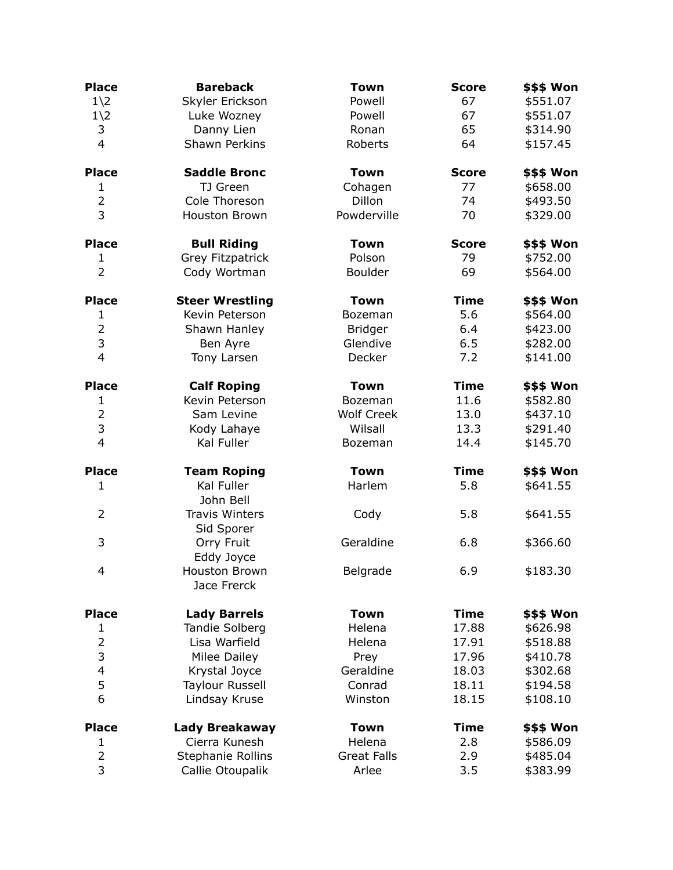| <b>Place</b>                  | <b>Bareback</b>                     | <b>Town</b>        | <b>Score</b>   | \$\$\$ Won |
|-------------------------------|-------------------------------------|--------------------|----------------|------------|
| $1\angle 2$                   | Skyler Erickson                     | Powell             | 67             | \$551.07   |
| $1\angle 2$                   | Luke Wozney                         | Powell             | 67             | \$551.07   |
| 3                             | Danny Lien                          | Ronan              | 65             | \$314.90   |
| $\overline{4}$                | <b>Shawn Perkins</b>                | Roberts            | 64             | \$157.45   |
| <b>Place</b>                  | <b>Saddle Bronc</b>                 | <b>Town</b>        | <b>Score</b>   | \$\$\$ Won |
| $\mathbf{1}$                  | TJ Green                            | Cohagen            | 77             | \$658.00   |
| $\overline{2}$                | Cole Thoreson                       | Dillon             | 74             | \$493.50   |
| $\overline{3}$                | <b>Houston Brown</b>                | Powderville        | 70             | \$329.00   |
| <b>Place</b>                  | <b>Bull Riding</b>                  | <b>Town</b>        | <b>Score</b>   | \$\$\$ Won |
| 1                             | <b>Grey Fitzpatrick</b>             | Polson             | 79             | \$752.00   |
| $\overline{2}$                | Cody Wortman                        | <b>Boulder</b>     | 69             | \$564.00   |
| <b>Place</b>                  | <b>Steer Wrestling</b>              | <b>Town</b>        | <b>Time</b>    | \$\$\$ Won |
| $\mathbf{1}$                  | Kevin Peterson                      | Bozeman            | 5.6            | \$564.00   |
| $\overline{2}$                | Shawn Hanley                        | <b>Bridger</b>     | 6.4            | \$423.00   |
| 3                             | Ben Ayre                            | Glendive           | 6.5            | \$282.00   |
| $\overline{4}$                | Tony Larsen                         | Decker             | 7.2            | \$141.00   |
| <b>Place</b>                  | <b>Calf Roping</b>                  | <b>Town</b>        | <b>Time</b>    | \$\$\$ Won |
| $\mathbf{1}$                  | Kevin Peterson                      | Bozeman            | 11.6           | \$582.80   |
| $\overline{2}$                | Sam Levine                          | <b>Wolf Creek</b>  | 13.0           | \$437.10   |
| 3                             | Kody Lahaye                         | Wilsall            | 13.3           | \$291.40   |
| $\overline{4}$                | Kal Fuller                          | Bozeman            | 14.4           | \$145.70   |
| <b>Place</b>                  | <b>Team Roping</b>                  | <b>Town</b>        | <b>Time</b>    | \$\$\$ Won |
| $\mathbf{1}$                  | Kal Fuller<br>John Bell             | Harlem             | 5.8            | \$641.55   |
| $\overline{2}$                | <b>Travis Winters</b><br>Sid Sporer | Cody               | 5.8            | \$641.55   |
| 3                             | Orry Fruit<br>Eddy Joyce            | Geraldine          | 6.8            | \$366.60   |
| 4                             | Houston Brown<br>Jace Frerck        | Belgrade           | 6.9            | \$183.30   |
|                               |                                     |                    |                |            |
| <b>Place</b>                  | <b>Lady Barrels</b>                 | <b>Town</b>        | <b>Time</b>    | \$\$\$ Won |
| 1                             | <b>Tandie Solberg</b>               | Helena             | 17.88          | \$626.98   |
| $\overline{2}$                | Lisa Warfield                       | Helena             | 17.91          | \$518.88   |
| 3<br>$\overline{\mathcal{L}}$ | Milee Dailey<br>Krystal Joyce       | Prey<br>Geraldine  | 17.96<br>18.03 | \$410.78   |
|                               |                                     | Conrad             |                | \$302.68   |
| 5                             | <b>Taylour Russell</b>              |                    | 18.11          | \$194.58   |
| 6                             | Lindsay Kruse                       | Winston            | 18.15          | \$108.10   |
| <b>Place</b>                  | Lady Breakaway                      | <b>Town</b>        | <b>Time</b>    | \$\$\$ Won |
| $\mathbf{1}$                  | Cierra Kunesh                       | Helena             | 2.8            | \$586.09   |
| $\mathbf 2$                   | Stephanie Rollins                   | <b>Great Falls</b> | 2.9            | \$485.04   |
| $\overline{3}$                | Callie Otoupalik                    | Arlee              | 3.5            | \$383.99   |